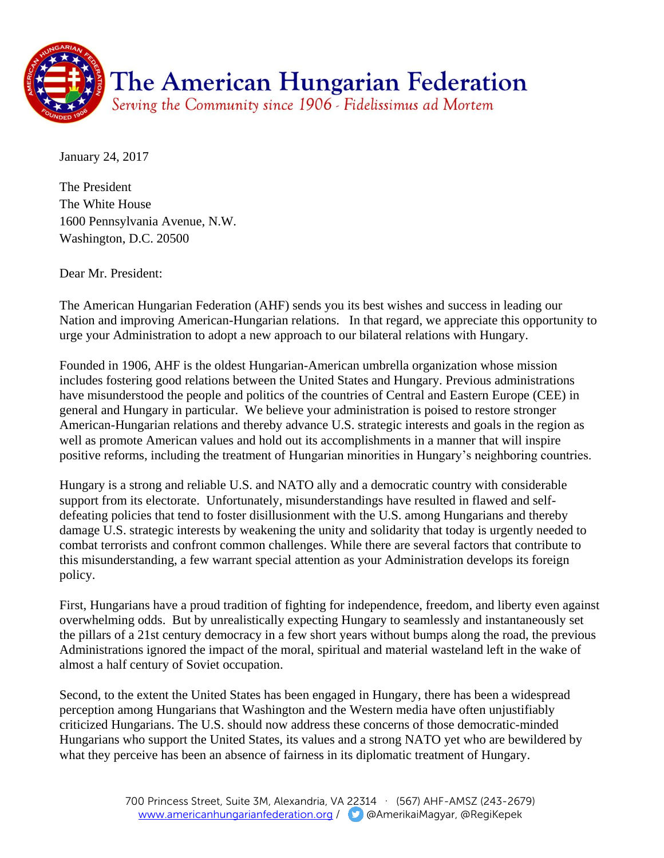

January 24, 2017

The President The White House 1600 Pennsylvania Avenue, N.W. Washington, D.C. 20500

Dear Mr. President:

The American Hungarian Federation (AHF) sends you its best wishes and success in leading our Nation and improving American-Hungarian relations. In that regard, we appreciate this opportunity to urge your Administration to adopt a new approach to our bilateral relations with Hungary.

Founded in 1906, AHF is the oldest Hungarian-American umbrella organization whose mission includes fostering good relations between the United States and Hungary. Previous administrations have misunderstood the people and politics of the countries of Central and Eastern Europe (CEE) in general and Hungary in particular. We believe your administration is poised to restore stronger American-Hungarian relations and thereby advance U.S. strategic interests and goals in the region as well as promote American values and hold out its accomplishments in a manner that will inspire positive reforms, including the treatment of Hungarian minorities in Hungary's neighboring countries.

Hungary is a strong and reliable U.S. and NATO ally and a democratic country with considerable support from its electorate. Unfortunately, misunderstandings have resulted in flawed and selfdefeating policies that tend to foster disillusionment with the U.S. among Hungarians and thereby damage U.S. strategic interests by weakening the unity and solidarity that today is urgently needed to combat terrorists and confront common challenges. While there are several factors that contribute to this misunderstanding, a few warrant special attention as your Administration develops its foreign policy.

First, Hungarians have a proud tradition of fighting for independence, freedom, and liberty even against overwhelming odds. But by unrealistically expecting Hungary to seamlessly and instantaneously set the pillars of a 21st century democracy in a few short years without bumps along the road, the previous Administrations ignored the impact of the moral, spiritual and material wasteland left in the wake of almost a half century of Soviet occupation.

Second, to the extent the United States has been engaged in Hungary, there has been a widespread perception among Hungarians that Washington and the Western media have often unjustifiably criticized Hungarians. The U.S. should now address these concerns of those democratic-minded Hungarians who support the United States, its values and a strong NATO yet who are bewildered by what they perceive has been an absence of fairness in its diplomatic treatment of Hungary.